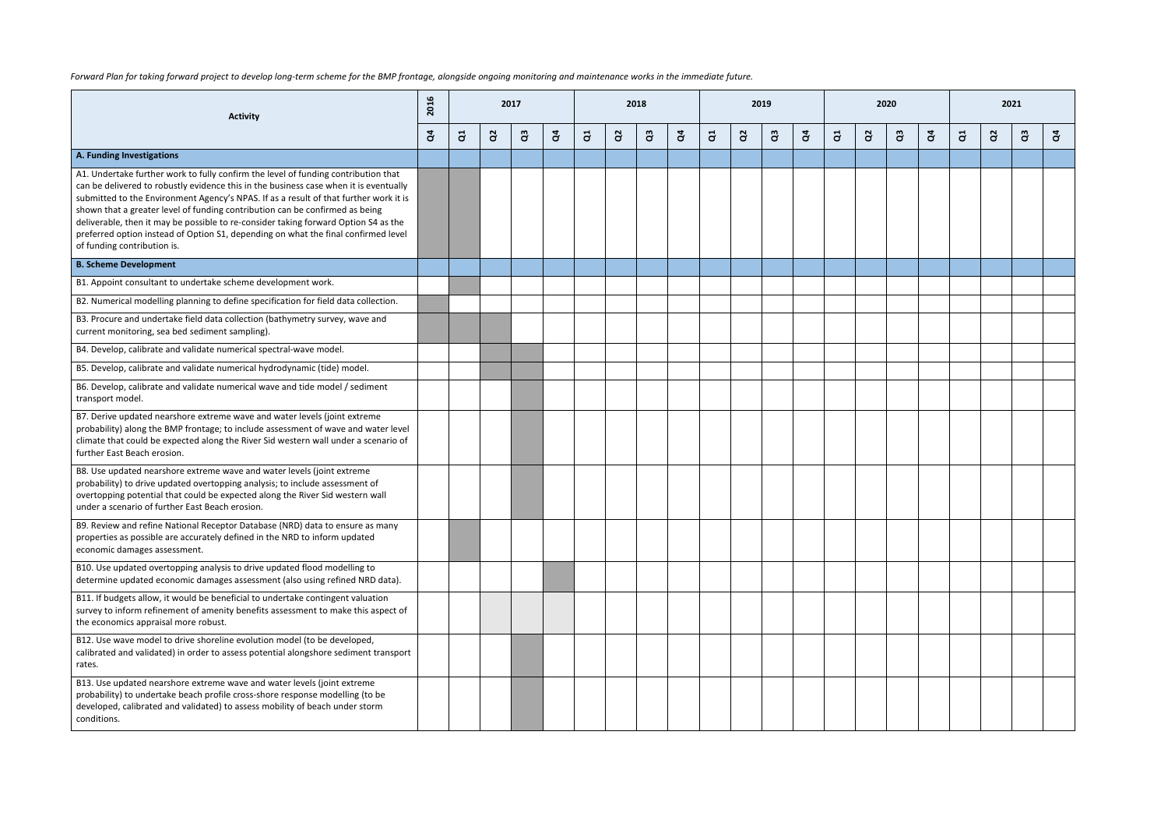| Forward Plan for taking forward project to develop long-term scheme for the BMP frontage, alongside ongoing monitoring and maintenance works in the immediate future. |  |
|-----------------------------------------------------------------------------------------------------------------------------------------------------------------------|--|
|-----------------------------------------------------------------------------------------------------------------------------------------------------------------------|--|

| <b>Activity</b>                                                                                                                                                                                                                                                                                                                                                                                                                                                                                                                                                  |   |                |              | 2017 |              |   |              | 2018         |                |    |                | 2019      |              |          |          | 2020      |              |   |          |              |   |
|------------------------------------------------------------------------------------------------------------------------------------------------------------------------------------------------------------------------------------------------------------------------------------------------------------------------------------------------------------------------------------------------------------------------------------------------------------------------------------------------------------------------------------------------------------------|---|----------------|--------------|------|--------------|---|--------------|--------------|----------------|----|----------------|-----------|--------------|----------|----------|-----------|--------------|---|----------|--------------|---|
|                                                                                                                                                                                                                                                                                                                                                                                                                                                                                                                                                                  | g | $\overline{a}$ | $\mathbf{a}$ | ဗိ   | $\mathbf{g}$ | ី | $\mathbf{a}$ | $\mathbf{a}$ | $\mathfrak{F}$ | ដូ | $\mathbf{a}^2$ | <u>පි</u> | $\mathbf{g}$ | <b>a</b> | <u>s</u> | <u>පි</u> | $\mathbf{q}$ | ី | <u>S</u> | $\mathbf{a}$ | g |
| A. Funding Investigations                                                                                                                                                                                                                                                                                                                                                                                                                                                                                                                                        |   |                |              |      |              |   |              |              |                |    |                |           |              |          |          |           |              |   |          |              |   |
| A1. Undertake further work to fully confirm the level of funding contribution that<br>can be delivered to robustly evidence this in the business case when it is eventually<br>submitted to the Environment Agency's NPAS. If as a result of that further work it is<br>shown that a greater level of funding contribution can be confirmed as being<br>deliverable, then it may be possible to re-consider taking forward Option S4 as the<br>preferred option instead of Option S1, depending on what the final confirmed level<br>of funding contribution is. |   |                |              |      |              |   |              |              |                |    |                |           |              |          |          |           |              |   |          |              |   |
| <b>B. Scheme Development</b>                                                                                                                                                                                                                                                                                                                                                                                                                                                                                                                                     |   |                |              |      |              |   |              |              |                |    |                |           |              |          |          |           |              |   |          |              |   |
| B1. Appoint consultant to undertake scheme development work.                                                                                                                                                                                                                                                                                                                                                                                                                                                                                                     |   |                |              |      |              |   |              |              |                |    |                |           |              |          |          |           |              |   |          |              |   |
| B2. Numerical modelling planning to define specification for field data collection.                                                                                                                                                                                                                                                                                                                                                                                                                                                                              |   |                |              |      |              |   |              |              |                |    |                |           |              |          |          |           |              |   |          |              |   |
| B3. Procure and undertake field data collection (bathymetry survey, wave and<br>current monitoring, sea bed sediment sampling).                                                                                                                                                                                                                                                                                                                                                                                                                                  |   |                |              |      |              |   |              |              |                |    |                |           |              |          |          |           |              |   |          |              |   |
| B4. Develop, calibrate and validate numerical spectral-wave model.                                                                                                                                                                                                                                                                                                                                                                                                                                                                                               |   |                |              |      |              |   |              |              |                |    |                |           |              |          |          |           |              |   |          |              |   |
| B5. Develop, calibrate and validate numerical hydrodynamic (tide) model.                                                                                                                                                                                                                                                                                                                                                                                                                                                                                         |   |                |              |      |              |   |              |              |                |    |                |           |              |          |          |           |              |   |          |              |   |
| B6. Develop, calibrate and validate numerical wave and tide model / sediment<br>transport model.                                                                                                                                                                                                                                                                                                                                                                                                                                                                 |   |                |              |      |              |   |              |              |                |    |                |           |              |          |          |           |              |   |          |              |   |
| B7. Derive updated nearshore extreme wave and water levels (joint extreme<br>probability) along the BMP frontage; to include assessment of wave and water level<br>climate that could be expected along the River Sid western wall under a scenario of<br>further East Beach erosion.                                                                                                                                                                                                                                                                            |   |                |              |      |              |   |              |              |                |    |                |           |              |          |          |           |              |   |          |              |   |
| B8. Use updated nearshore extreme wave and water levels (joint extreme<br>probability) to drive updated overtopping analysis; to include assessment of<br>overtopping potential that could be expected along the River Sid western wall<br>under a scenario of further East Beach erosion.                                                                                                                                                                                                                                                                       |   |                |              |      |              |   |              |              |                |    |                |           |              |          |          |           |              |   |          |              |   |
| B9. Review and refine National Receptor Database (NRD) data to ensure as many<br>properties as possible are accurately defined in the NRD to inform updated<br>economic damages assessment.                                                                                                                                                                                                                                                                                                                                                                      |   |                |              |      |              |   |              |              |                |    |                |           |              |          |          |           |              |   |          |              |   |
| B10. Use updated overtopping analysis to drive updated flood modelling to<br>determine updated economic damages assessment (also using refined NRD data).                                                                                                                                                                                                                                                                                                                                                                                                        |   |                |              |      |              |   |              |              |                |    |                |           |              |          |          |           |              |   |          |              |   |
| B11. If budgets allow, it would be beneficial to undertake contingent valuation<br>survey to inform refinement of amenity benefits assessment to make this aspect of<br>the economics appraisal more robust.                                                                                                                                                                                                                                                                                                                                                     |   |                |              |      |              |   |              |              |                |    |                |           |              |          |          |           |              |   |          |              |   |
| B12. Use wave model to drive shoreline evolution model (to be developed,<br>calibrated and validated) in order to assess potential alongshore sediment transport<br>rates.                                                                                                                                                                                                                                                                                                                                                                                       |   |                |              |      |              |   |              |              |                |    |                |           |              |          |          |           |              |   |          |              |   |
| B13. Use updated nearshore extreme wave and water levels (joint extreme<br>probability) to undertake beach profile cross-shore response modelling (to be<br>developed, calibrated and validated) to assess mobility of beach under storm<br>conditions.                                                                                                                                                                                                                                                                                                          |   |                |              |      |              |   |              |              |                |    |                |           |              |          |          |           |              |   |          |              |   |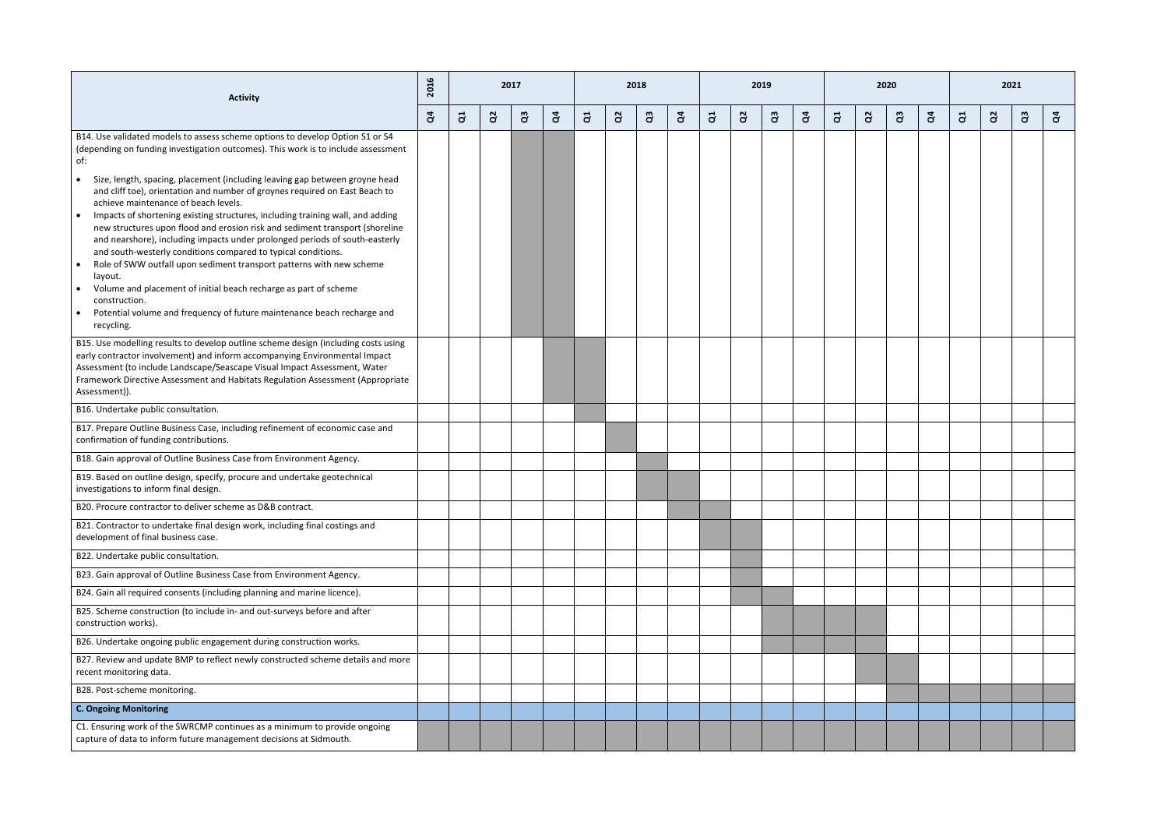| <b>Activity</b>                                                                                                                                                                                                                                                                                                                                  | 2016         |                | 2017     |           |              |   |    | 2018         |                |           |              | 2019     |              |                         |                | 2020      |              |   |          |              |   |
|--------------------------------------------------------------------------------------------------------------------------------------------------------------------------------------------------------------------------------------------------------------------------------------------------------------------------------------------------|--------------|----------------|----------|-----------|--------------|---|----|--------------|----------------|-----------|--------------|----------|--------------|-------------------------|----------------|-----------|--------------|---|----------|--------------|---|
|                                                                                                                                                                                                                                                                                                                                                  | $\mathbf{g}$ | $\overline{d}$ | $\alpha$ | <u>පි</u> | $\mathbf{g}$ | ី | S, | $\mathbf{a}$ | $\mathfrak{F}$ | $\vec{c}$ | $\mathbf{a}$ | <b>a</b> | $\mathbf{g}$ | $\overline{\mathbf{d}}$ | S <sub>2</sub> | <u>පි</u> | $\mathbf{q}$ | ី | <u>a</u> | $\mathbf{a}$ | g |
| B14. Use validated models to assess scheme options to develop Option S1 or S4<br>(depending on funding investigation outcomes). This work is to include assessment<br>of:                                                                                                                                                                        |              |                |          |           |              |   |    |              |                |           |              |          |              |                         |                |           |              |   |          |              |   |
| Size, length, spacing, placement (including leaving gap between groyne head<br>$\bullet$<br>and cliff toe), orientation and number of groynes required on East Beach to<br>achieve maintenance of beach levels.                                                                                                                                  |              |                |          |           |              |   |    |              |                |           |              |          |              |                         |                |           |              |   |          |              |   |
| Impacts of shortening existing structures, including training wall, and adding<br>$\bullet$<br>new structures upon flood and erosion risk and sediment transport (shoreline<br>and nearshore), including impacts under prolonged periods of south-easterly<br>and south-westerly conditions compared to typical conditions.                      |              |                |          |           |              |   |    |              |                |           |              |          |              |                         |                |           |              |   |          |              |   |
| Role of SWW outfall upon sediment transport patterns with new scheme<br>$\bullet$<br>layout.                                                                                                                                                                                                                                                     |              |                |          |           |              |   |    |              |                |           |              |          |              |                         |                |           |              |   |          |              |   |
| Volume and placement of initial beach recharge as part of scheme<br>construction.<br>Potential volume and frequency of future maintenance beach recharge and<br>$\bullet$<br>recycling.                                                                                                                                                          |              |                |          |           |              |   |    |              |                |           |              |          |              |                         |                |           |              |   |          |              |   |
| B15. Use modelling results to develop outline scheme design (including costs using<br>early contractor involvement) and inform accompanying Environmental Impact<br>Assessment (to include Landscape/Seascape Visual Impact Assessment, Water<br>Framework Directive Assessment and Habitats Regulation Assessment (Appropriate<br>Assessment)). |              |                |          |           |              |   |    |              |                |           |              |          |              |                         |                |           |              |   |          |              |   |
| B16. Undertake public consultation.                                                                                                                                                                                                                                                                                                              |              |                |          |           |              |   |    |              |                |           |              |          |              |                         |                |           |              |   |          |              |   |
| B17. Prepare Outline Business Case, including refinement of economic case and<br>confirmation of funding contributions.                                                                                                                                                                                                                          |              |                |          |           |              |   |    |              |                |           |              |          |              |                         |                |           |              |   |          |              |   |
| B18. Gain approval of Outline Business Case from Environment Agency.                                                                                                                                                                                                                                                                             |              |                |          |           |              |   |    |              |                |           |              |          |              |                         |                |           |              |   |          |              |   |
| B19. Based on outline design, specify, procure and undertake geotechnical<br>investigations to inform final design.                                                                                                                                                                                                                              |              |                |          |           |              |   |    |              |                |           |              |          |              |                         |                |           |              |   |          |              |   |
| B <sub>20</sub> . Procure contractor to deliver scheme as D&B contract.                                                                                                                                                                                                                                                                          |              |                |          |           |              |   |    |              |                |           |              |          |              |                         |                |           |              |   |          |              |   |
| B21. Contractor to undertake final design work, including final costings and<br>development of final business case.                                                                                                                                                                                                                              |              |                |          |           |              |   |    |              |                |           |              |          |              |                         |                |           |              |   |          |              |   |
| B22. Undertake public consultation.                                                                                                                                                                                                                                                                                                              |              |                |          |           |              |   |    |              |                |           |              |          |              |                         |                |           |              |   |          |              |   |
| B23. Gain approval of Outline Business Case from Environment Agency.                                                                                                                                                                                                                                                                             |              |                |          |           |              |   |    |              |                |           |              |          |              |                         |                |           |              |   |          |              |   |
| B24. Gain all required consents (including planning and marine licence).                                                                                                                                                                                                                                                                         |              |                |          |           |              |   |    |              |                |           |              |          |              |                         |                |           |              |   |          |              |   |
| B25. Scheme construction (to include in- and out-surveys before and after<br>construction works).                                                                                                                                                                                                                                                |              |                |          |           |              |   |    |              |                |           |              |          |              |                         |                |           |              |   |          |              |   |
| B26. Undertake ongoing public engagement during construction works.                                                                                                                                                                                                                                                                              |              |                |          |           |              |   |    |              |                |           |              |          |              |                         |                |           |              |   |          |              |   |
| B27. Review and update BMP to reflect newly constructed scheme details and more<br>recent monitoring data.                                                                                                                                                                                                                                       |              |                |          |           |              |   |    |              |                |           |              |          |              |                         |                |           |              |   |          |              |   |
| B28. Post-scheme monitoring.                                                                                                                                                                                                                                                                                                                     |              |                |          |           |              |   |    |              |                |           |              |          |              |                         |                |           |              |   |          |              |   |
| <b>C. Ongoing Monitoring</b>                                                                                                                                                                                                                                                                                                                     |              |                |          |           |              |   |    |              |                |           |              |          |              |                         |                |           |              |   |          |              |   |
| C1. Ensuring work of the SWRCMP continues as a minimum to provide ongoing<br>capture of data to inform future management decisions at Sidmouth.                                                                                                                                                                                                  |              |                |          |           |              |   |    |              |                |           |              |          |              |                         |                |           |              |   |          |              |   |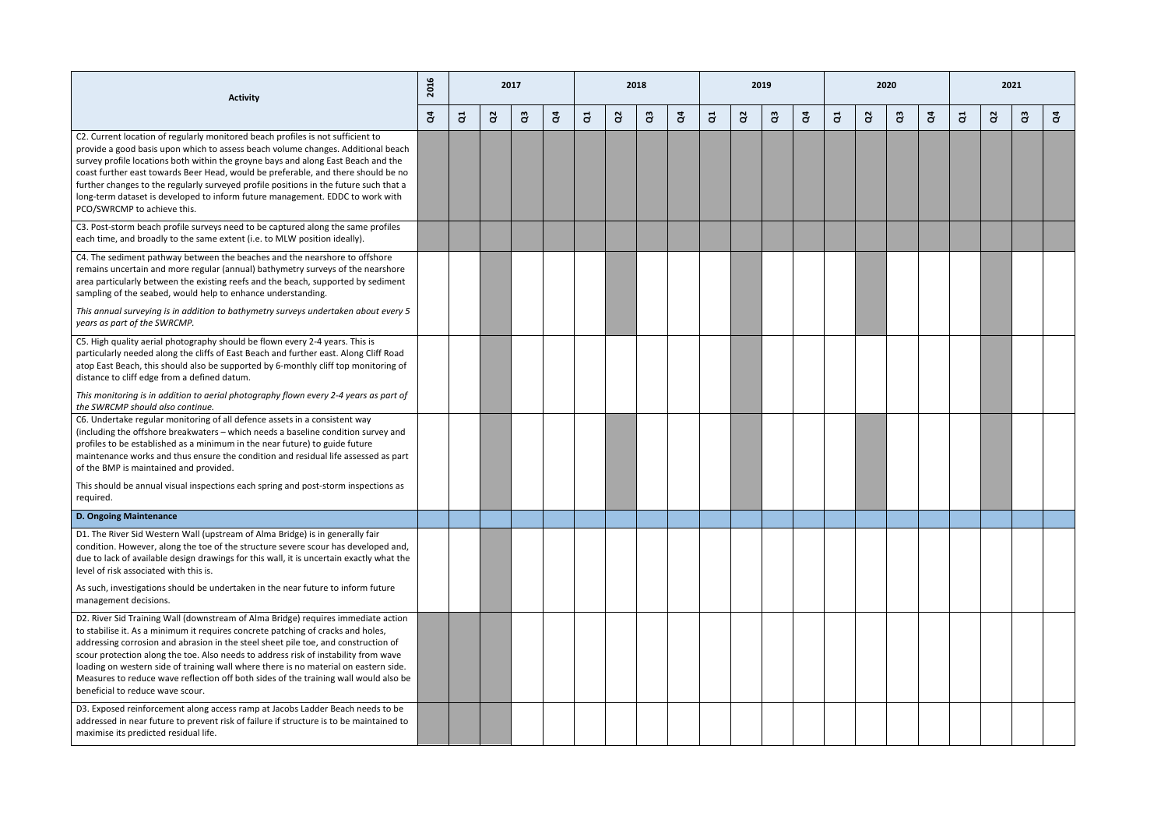| <b>Activity</b>                                                                                                                                                                                                                                                                                                                                                                                                                                                                                                                                                        | 2016         |                |          | 2017      |              |   |          | 2018 |        |   |                | 2019 |              |   |          | 2020     |              | 2021 |          |          |   |
|------------------------------------------------------------------------------------------------------------------------------------------------------------------------------------------------------------------------------------------------------------------------------------------------------------------------------------------------------------------------------------------------------------------------------------------------------------------------------------------------------------------------------------------------------------------------|--------------|----------------|----------|-----------|--------------|---|----------|------|--------|---|----------------|------|--------------|---|----------|----------|--------------|------|----------|----------|---|
|                                                                                                                                                                                                                                                                                                                                                                                                                                                                                                                                                                        | $\mathbf{g}$ | $\overline{a}$ | $\alpha$ | <u>පි</u> | $\mathbf{g}$ | 5 | <u>a</u> | G3   | ិ<br>ខ | ី | $\mathbf{a}^2$ | පි   | $\mathbf{g}$ | J | <u>S</u> | <b>a</b> | $\mathbf{q}$ | ី    | <u>a</u> | <b>a</b> | g |
| C2. Current location of regularly monitored beach profiles is not sufficient to<br>provide a good basis upon which to assess beach volume changes. Additional beach<br>survey profile locations both within the groyne bays and along East Beach and the<br>coast further east towards Beer Head, would be preferable, and there should be no<br>further changes to the regularly surveyed profile positions in the future such that a<br>long-term dataset is developed to inform future management. EDDC to work with<br>PCO/SWRCMP to achieve this.                 |              |                |          |           |              |   |          |      |        |   |                |      |              |   |          |          |              |      |          |          |   |
| C3. Post-storm beach profile surveys need to be captured along the same profiles<br>each time, and broadly to the same extent (i.e. to MLW position ideally).                                                                                                                                                                                                                                                                                                                                                                                                          |              |                |          |           |              |   |          |      |        |   |                |      |              |   |          |          |              |      |          |          |   |
| C4. The sediment pathway between the beaches and the nearshore to offshore<br>remains uncertain and more regular (annual) bathymetry surveys of the nearshore<br>area particularly between the existing reefs and the beach, supported by sediment<br>sampling of the seabed, would help to enhance understanding.<br>This annual surveying is in addition to bathymetry surveys undertaken about every 5<br>years as part of the SWRCMP.                                                                                                                              |              |                |          |           |              |   |          |      |        |   |                |      |              |   |          |          |              |      |          |          |   |
| C5. High quality aerial photography should be flown every 2-4 years. This is<br>particularly needed along the cliffs of East Beach and further east. Along Cliff Road<br>atop East Beach, this should also be supported by 6-monthly cliff top monitoring of<br>distance to cliff edge from a defined datum.                                                                                                                                                                                                                                                           |              |                |          |           |              |   |          |      |        |   |                |      |              |   |          |          |              |      |          |          |   |
| This monitoring is in addition to aerial photography flown every 2-4 years as part of<br>the SWRCMP should also continue.                                                                                                                                                                                                                                                                                                                                                                                                                                              |              |                |          |           |              |   |          |      |        |   |                |      |              |   |          |          |              |      |          |          |   |
| C6. Undertake regular monitoring of all defence assets in a consistent way<br>(including the offshore breakwaters - which needs a baseline condition survey and<br>profiles to be established as a minimum in the near future) to guide future<br>maintenance works and thus ensure the condition and residual life assessed as part<br>of the BMP is maintained and provided.                                                                                                                                                                                         |              |                |          |           |              |   |          |      |        |   |                |      |              |   |          |          |              |      |          |          |   |
| This should be annual visual inspections each spring and post-storm inspections as<br>required.                                                                                                                                                                                                                                                                                                                                                                                                                                                                        |              |                |          |           |              |   |          |      |        |   |                |      |              |   |          |          |              |      |          |          |   |
| <b>D. Ongoing Maintenance</b>                                                                                                                                                                                                                                                                                                                                                                                                                                                                                                                                          |              |                |          |           |              |   |          |      |        |   |                |      |              |   |          |          |              |      |          |          |   |
| D1. The River Sid Western Wall (upstream of Alma Bridge) is in generally fair<br>condition. However, along the toe of the structure severe scour has developed and,<br>due to lack of available design drawings for this wall, it is uncertain exactly what the<br>level of risk associated with this is.<br>As such, investigations should be undertaken in the near future to inform future                                                                                                                                                                          |              |                |          |           |              |   |          |      |        |   |                |      |              |   |          |          |              |      |          |          |   |
| management decisions.                                                                                                                                                                                                                                                                                                                                                                                                                                                                                                                                                  |              |                |          |           |              |   |          |      |        |   |                |      |              |   |          |          |              |      |          |          |   |
| D2. River Sid Training Wall (downstream of Alma Bridge) requires immediate action<br>to stabilise it. As a minimum it requires concrete patching of cracks and holes,<br>addressing corrosion and abrasion in the steel sheet pile toe, and construction of<br>scour protection along the toe. Also needs to address risk of instability from wave<br>loading on western side of training wall where there is no material on eastern side.<br>Measures to reduce wave reflection off both sides of the training wall would also be<br>beneficial to reduce wave scour. |              |                |          |           |              |   |          |      |        |   |                |      |              |   |          |          |              |      |          |          |   |
| D3. Exposed reinforcement along access ramp at Jacobs Ladder Beach needs to be<br>addressed in near future to prevent risk of failure if structure is to be maintained to<br>maximise its predicted residual life.                                                                                                                                                                                                                                                                                                                                                     |              |                |          |           |              |   |          |      |        |   |                |      |              |   |          |          |              |      |          |          |   |